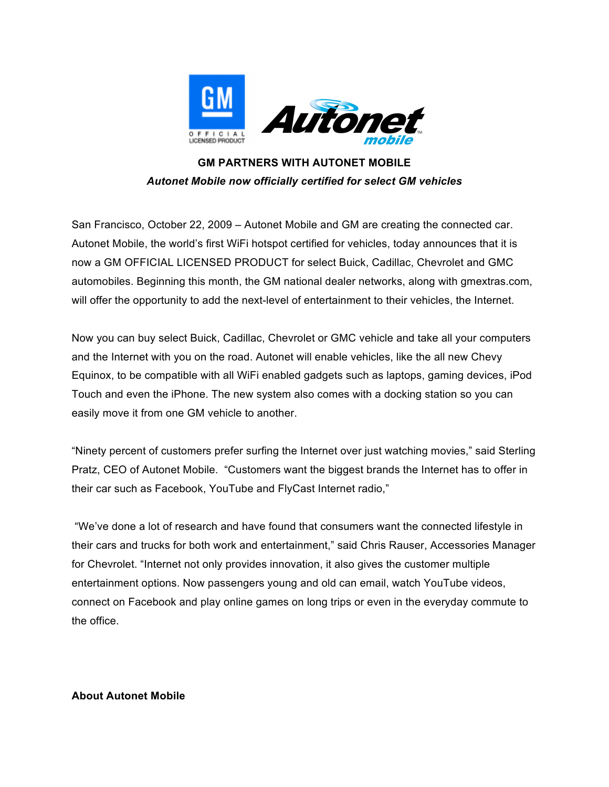

## **GM PARTNERS WITH AUTONET MOBILE** *Autonet Mobile now officially certified for select GM vehicles*

San Francisco, October 22, 2009 – Autonet Mobile and GM are creating the connected car. Autonet Mobile, the world's first WiFi hotspot certified for vehicles, today announces that it is now a GM OFFICIAL LICENSED PRODUCT for select Buick, Cadillac, Chevrolet and GMC automobiles. Beginning this month, the GM national dealer networks, along with gmextras.com, will offer the opportunity to add the next-level of entertainment to their vehicles, the Internet.

Now you can buy select Buick, Cadillac, Chevrolet or GMC vehicle and take all your computers and the Internet with you on the road. Autonet will enable vehicles, like the all new Chevy Equinox, to be compatible with all WiFi enabled gadgets such as laptops, gaming devices, iPod Touch and even the iPhone. The new system also comes with a docking station so you can easily move it from one GM vehicle to another.

"Ninety percent of customers prefer surfing the Internet over just watching movies," said Sterling Pratz, CEO of Autonet Mobile. "Customers want the biggest brands the Internet has to offer in their car such as Facebook, YouTube and FlyCast Internet radio,"

"We've done a lot of research and have found that consumers want the connected lifestyle in their cars and trucks for both work and entertainment," said Chris Rauser, Accessories Manager for Chevrolet. "Internet not only provides innovation, it also gives the customer multiple entertainment options. Now passengers young and old can email, watch YouTube videos, connect on Facebook and play online games on long trips or even in the everyday commute to the office.

## **About Autonet Mobile**